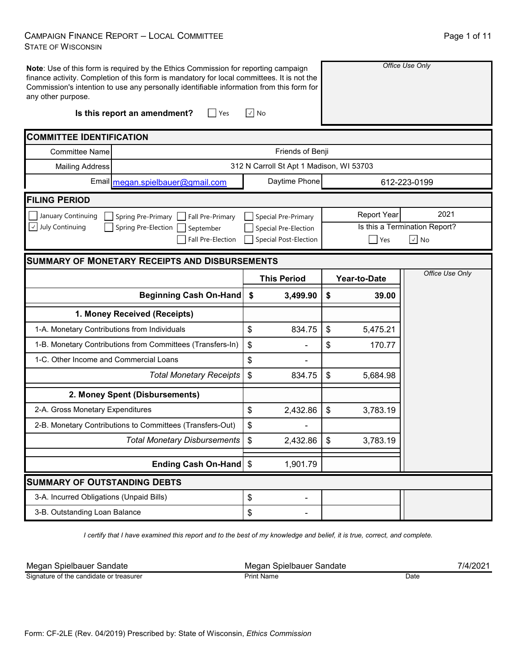## CAMPAIGN FINANCE REPORT – LOCAL COMMITTEE STATE OF WISCONSIN

| Page 1 of 11 |  |  |
|--------------|--|--|
|--------------|--|--|

| any other purpose.                       | Note: Use of this form is required by the Ethics Commission for reporting campaign<br>finance activity. Completion of this form is mandatory for local committees. It is not the<br>Commission's intention to use any personally identifiable information from this form for |                                          |                    | Office Use Only               |
|------------------------------------------|------------------------------------------------------------------------------------------------------------------------------------------------------------------------------------------------------------------------------------------------------------------------------|------------------------------------------|--------------------|-------------------------------|
|                                          | Is this report an amendment?<br>$ $ Yes                                                                                                                                                                                                                                      | l√l No                                   |                    |                               |
| <b>COMMITTEE IDENTIFICATION</b>          |                                                                                                                                                                                                                                                                              |                                          |                    |                               |
| <b>Committee Name</b>                    |                                                                                                                                                                                                                                                                              | Friends of Benji                         |                    |                               |
| <b>Mailing Address</b>                   |                                                                                                                                                                                                                                                                              | 312 N Carroll St Apt 1 Madison, WI 53703 |                    |                               |
|                                          | Email megan.spielbauer@gmail.com                                                                                                                                                                                                                                             | Daytime Phone                            |                    | 612-223-0199                  |
| <b>FILING PERIOD</b>                     |                                                                                                                                                                                                                                                                              |                                          |                    |                               |
| January Continuing                       | Spring Pre-Primary<br>Fall Pre-Primary                                                                                                                                                                                                                                       | Special Pre-Primary                      | <b>Report Year</b> | 2021                          |
| $\vee$ July Continuing                   | Spring Pre-Election<br>September                                                                                                                                                                                                                                             | Special Pre-Election                     |                    | Is this a Termination Report? |
|                                          | Fall Pre-Election                                                                                                                                                                                                                                                            | <b>Special Post-Election</b>             | <b>Yes</b>         | $\overline{\vee}$ No          |
|                                          | <b>SUMMARY OF MONETARY RECEIPTS AND DISBURSEMENTS</b>                                                                                                                                                                                                                        |                                          |                    |                               |
|                                          |                                                                                                                                                                                                                                                                              | <b>This Period</b>                       | Year-to-Date       | Office Use Only               |
|                                          | Beginning Cash On-Hand \$                                                                                                                                                                                                                                                    | 3,499.90                                 | \$<br>39.00        |                               |
|                                          | 1. Money Received (Receipts)                                                                                                                                                                                                                                                 |                                          |                    |                               |
|                                          |                                                                                                                                                                                                                                                                              |                                          |                    |                               |
|                                          | 1-A. Monetary Contributions from Individuals                                                                                                                                                                                                                                 | \$<br>834.75                             | \$<br>5,475.21     |                               |
|                                          | 1-B. Monetary Contributions from Committees (Transfers-In)                                                                                                                                                                                                                   | \$                                       | \$<br>170.77       |                               |
| 1-C. Other Income and Commercial Loans   |                                                                                                                                                                                                                                                                              | \$                                       |                    |                               |
|                                          | <b>Total Monetary Receipts</b>                                                                                                                                                                                                                                               | \$<br>834.75                             | \$<br>5,684.98     |                               |
|                                          | 2. Money Spent (Disbursements)                                                                                                                                                                                                                                               |                                          |                    |                               |
| 2-A. Gross Monetary Expenditures         |                                                                                                                                                                                                                                                                              | \$<br>2,432.86                           | \$<br>3,783.19     |                               |
|                                          | 2-B. Monetary Contributions to Committees (Transfers-Out)                                                                                                                                                                                                                    | \$                                       |                    |                               |
|                                          | <b>Total Monetary Disbursements</b>                                                                                                                                                                                                                                          | 2,432.86<br>$\boldsymbol{\mathsf{S}}$    | \$<br>3,783.19     |                               |
|                                          | Ending Cash On-Hand \$                                                                                                                                                                                                                                                       | 1,901.79                                 |                    |                               |
| <b>SUMMARY OF OUTSTANDING DEBTS</b>      |                                                                                                                                                                                                                                                                              |                                          |                    |                               |
| 3-A. Incurred Obligations (Unpaid Bills) |                                                                                                                                                                                                                                                                              | \$                                       |                    |                               |

*I certify that I have examined this report and to the best of my knowledge and belief, it is true, correct, and complete.*

| Megan Spielbauer Sandate                | Spielbauer<br>∵Sandate<br>Megan | 1/4/20 |
|-----------------------------------------|---------------------------------|--------|
| r.                                      | : Name                          | Date   |
| Signature of the candidate or treasurer | Prınt                           |        |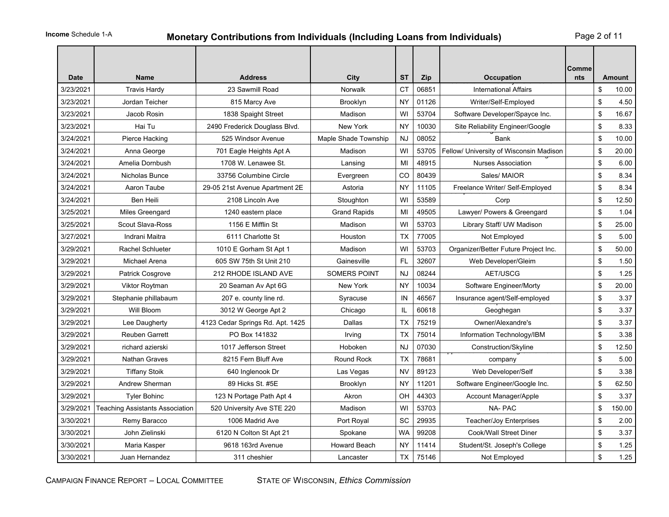# **Monetary Contributions from Individuals (Including Loans from Individuals)** Page 2 of 11

| <b>Date</b> | <b>Name</b>                            | <b>Address</b>                   | City                 | <b>ST</b> | Zip   | Occupation                              | Comme<br>nts | <b>Amount</b> |
|-------------|----------------------------------------|----------------------------------|----------------------|-----------|-------|-----------------------------------------|--------------|---------------|
| 3/23/2021   | <b>Travis Hardy</b>                    | 23 Sawmill Road                  | Norwalk              | <b>CT</b> | 06851 | <b>International Affairs</b>            |              | \$<br>10.00   |
| 3/23/2021   | Jordan Teicher                         | 815 Marcy Ave                    | Brooklyn             | <b>NY</b> | 01126 | Writer/Self-Employed                    |              | \$<br>4.50    |
| 3/23/2021   | Jacob Rosin                            | 1838 Spaight Street              | Madison              | WI        | 53704 | Software Developer/Spayce Inc.          |              | \$<br>16.67   |
| 3/23/2021   | Hai Tu                                 | 2490 Frederick Douglass Blvd.    | New York             | NY        | 10030 | Site Reliability Engineer/Google        |              | \$<br>8.33    |
| 3/24/2021   | Pierce Hacking                         | 525 Windsor Avenue               | Maple Shade Township | <b>NJ</b> | 08052 | Bank                                    |              | \$<br>10.00   |
| 3/24/2021   | Anna George                            | 701 Eagle Heights Apt A          | Madison              | WI        | 53705 | Fellow/ University of Wisconsin Madison |              | \$<br>20.00   |
| 3/24/2021   | Amelia Dornbush                        | 1708 W. Lenawee St.              | Lansing              | MI        | 48915 | Nurses Association                      |              | \$<br>6.00    |
| 3/24/2021   | Nicholas Bunce                         | 33756 Columbine Circle           | Evergreen            | CO        | 80439 | Sales/ MAIOR                            |              | \$<br>8.34    |
| 3/24/2021   | Aaron Taube                            | 29-05 21st Avenue Apartment 2E   | Astoria              | <b>NY</b> | 11105 | Freelance Writer/ Self-Employed         |              | \$<br>8.34    |
| 3/24/2021   | Ben Heili                              | 2108 Lincoln Ave                 | Stoughton            | WI        | 53589 | Corp                                    |              | \$<br>12.50   |
| 3/25/2021   | Miles Greengard                        | 1240 eastern place               | <b>Grand Rapids</b>  | MI        | 49505 | Lawyer/ Powers & Greengard              |              | \$<br>1.04    |
| 3/25/2021   | Scout Slava-Ross                       | 1156 E Mifflin St                | Madison              | WI        | 53703 | Library Staff/ UW Madison               |              | \$<br>25.00   |
| 3/27/2021   | Indrani Maitra                         | 6111 Charlotte St                | Houston              | <b>TX</b> | 77005 | Not Employed                            |              | \$<br>5.00    |
| 3/29/2021   | <b>Rachel Schlueter</b>                | 1010 E Gorham St Apt 1           | Madison              | WI        | 53703 | Organizer/Better Future Project Inc.    |              | \$<br>50.00   |
| 3/29/2021   | Michael Arena                          | 605 SW 75th St Unit 210          | Gainesville          | <b>FL</b> | 32607 | Web Developer/Gleim                     |              | \$<br>1.50    |
| 3/29/2021   | <b>Patrick Cosgrove</b>                | 212 RHODE ISLAND AVE             | <b>SOMERS POINT</b>  | NJ        | 08244 | AET/USCG                                |              | \$<br>1.25    |
| 3/29/2021   | Viktor Roytman                         | 20 Seaman Av Apt 6G              | New York             | <b>NY</b> | 10034 | Software Engineer/Morty                 |              | \$<br>20.00   |
| 3/29/2021   | Stephanie phillabaum                   | 207 e. county line rd.           | Syracuse             | IN        | 46567 | Insurance agent/Self-employed           |              | \$<br>3.37    |
| 3/29/2021   | Will Bloom                             | 3012 W George Apt 2              | Chicago              | IL        | 60618 | Geoghegan                               |              | \$<br>3.37    |
| 3/29/2021   | Lee Daugherty                          | 4123 Cedar Springs Rd. Apt. 1425 | Dallas               | ТX        | 75219 | Owner/Alexandre's                       |              | \$<br>3.37    |
| 3/29/2021   | <b>Reuben Garrett</b>                  | PO Box 141832                    | Irving               | ТX        | 75014 | Information Technology/IBM              |              | \$<br>3.38    |
| 3/29/2021   | richard azierski                       | 1017 Jefferson Street            | Hoboken              | NJ        | 07030 | Construction/Skyline                    |              | \$<br>12.50   |
| 3/29/2021   | Nathan Graves                          | 8215 Fern Bluff Ave              | Round Rock           | <b>TX</b> | 78681 | company                                 |              | \$<br>5.00    |
| 3/29/2021   | <b>Tiffany Stoik</b>                   | 640 Inglenook Dr                 | Las Vegas            | <b>NV</b> | 89123 | Web Developer/Self                      |              | \$<br>3.38    |
| 3/29/2021   | <b>Andrew Sherman</b>                  | 89 Hicks St. #5E                 | Brooklyn             | <b>NY</b> | 11201 | Software Engineer/Google Inc.           |              | \$<br>62.50   |
| 3/29/2021   | <b>Tyler Bohinc</b>                    | 123 N Portage Path Apt 4         | Akron                | OH        | 44303 | Account Manager/Apple                   |              | \$<br>3.37    |
| 3/29/2021   | <b>Teaching Assistants Association</b> | 520 University Ave STE 220       | Madison              | WI        | 53703 | NA-PAC                                  |              | \$<br>150.00  |
| 3/30/2021   | Remy Baracco                           | 1006 Madrid Ave                  | Port Royal           | <b>SC</b> | 29935 | Teacher/Joy Enterprises                 |              | \$<br>2.00    |
| 3/30/2021   | John Zielinski                         | 6120 N Colton St Apt 21          | Spokane              | <b>WA</b> | 99208 | Cook/Wall Street Diner                  |              | \$<br>3.37    |
| 3/30/2021   | Maria Kasper                           | 9618 163rd Avenue                | <b>Howard Beach</b>  | <b>NY</b> | 11414 | Student/St. Joseph's College            |              | \$<br>1.25    |
| 3/30/2021   | Juan Hernandez                         | 311 cheshier                     | Lancaster            | <b>TX</b> | 75146 | Not Employed                            |              | \$<br>1.25    |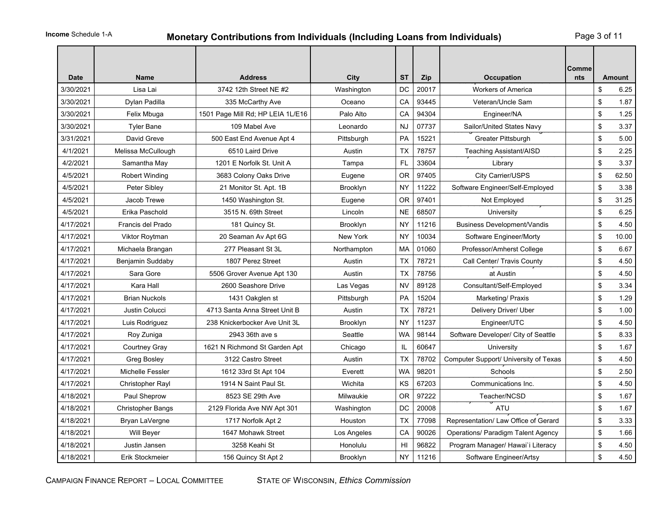# **Monetary Contributions from Individuals (Including Loans from Individuals)** Page 3 of 11

| <b>Date</b> | <b>Name</b>              | <b>Address</b>                    | City            | <b>ST</b> | Zip   | <b>Occupation</b>                         | Comme<br>nts | Amount      |
|-------------|--------------------------|-----------------------------------|-----------------|-----------|-------|-------------------------------------------|--------------|-------------|
| 3/30/2021   | Lisa Lai                 | 3742 12th Street NE #2            | Washington      | DC        | 20017 | <b>Workers of America</b>                 |              | \$<br>6.25  |
| 3/30/2021   | Dylan Padilla            | 335 McCarthy Ave                  | Oceano          | CA        | 93445 | Veteran/Uncle Sam                         |              | \$<br>1.87  |
| 3/30/2021   | Felix Mbuga              | 1501 Page Mill Rd; HP LEIA 1L/E16 | Palo Alto       | CA        | 94304 | Engineer/NA                               |              | \$<br>1.25  |
| 3/30/2021   | <b>Tyler Bane</b>        | 109 Mabel Ave                     | Leonardo        | <b>NJ</b> | 07737 | Sailor/United States Navy                 |              | \$<br>3.37  |
| 3/31/2021   | David Greve              | 500 East End Avenue Apt 4         | Pittsburgh      | PA        | 15221 | <b>Greater Pittsburgh</b>                 |              | \$<br>5.00  |
| 4/1/2021    | Melissa McCullough       | 6510 Laird Drive                  | Austin          | <b>TX</b> | 78757 | <b>Teaching Assistant/AISD</b>            |              | \$<br>2.25  |
| 4/2/2021    | Samantha May             | 1201 E Norfolk St. Unit A         | Tampa           | <b>FL</b> | 33604 | Library                                   |              | \$<br>3.37  |
| 4/5/2021    | Robert Winding           | 3683 Colony Oaks Drive            | Eugene          | 0R        | 97405 | City Carrier/USPS                         |              | \$<br>62.50 |
| 4/5/2021    | Peter Sibley             | 21 Monitor St. Apt. 1B            | Brooklyn        | NY        | 11222 | Software Engineer/Self-Employed           |              | \$<br>3.38  |
| 4/5/2021    | Jacob Trewe              | 1450 Washington St.               | Eugene          | 0R        | 97401 | Not Employed                              |              | \$<br>31.25 |
| 4/5/2021    | Erika Paschold           | 3515 N. 69th Street               | Lincoln         | <b>NE</b> | 68507 | University                                |              | \$<br>6.25  |
| 4/17/2021   | Francis del Prado        | 181 Quincy St.                    | Brooklyn        | <b>NY</b> | 11216 | <b>Business Development/Vandis</b>        |              | \$<br>4.50  |
| 4/17/2021   | Viktor Roytman           | 20 Seaman Av Apt 6G               | New York        | <b>NY</b> | 10034 | Software Engineer/Morty                   |              | \$<br>10.00 |
| 4/17/2021   | Michaela Brangan         | 277 Pleasant St 3L                | Northampton     | MA        | 01060 | Professor/Amherst College                 |              | \$<br>6.67  |
| 4/17/2021   | Benjamin Suddaby         | 1807 Perez Street                 | Austin          | TX        | 78721 | Call Center/ Travis County                |              | \$<br>4.50  |
| 4/17/2021   | Sara Gore                | 5506 Grover Avenue Apt 130        | Austin          | <b>TX</b> | 78756 | at Austin                                 |              | \$<br>4.50  |
| 4/17/2021   | Kara Hall                | 2600 Seashore Drive               | Las Vegas       | <b>NV</b> | 89128 | Consultant/Self-Employed                  |              | \$<br>3.34  |
| 4/17/2021   | <b>Brian Nuckols</b>     | 1431 Oakglen st                   | Pittsburgh      | <b>PA</b> | 15204 | Marketing/ Praxis                         |              | \$<br>1.29  |
| 4/17/2021   | Justin Colucci           | 4713 Santa Anna Street Unit B     | Austin          | TX        | 78721 | Delivery Driver/ Uber                     |              | \$<br>1.00  |
| 4/17/2021   | Luis Rodriguez           | 238 Knickerbocker Ave Unit 3L     | Brooklyn        | <b>NY</b> | 11237 | Engineer/UTC                              |              | \$<br>4.50  |
| 4/17/2021   | Roy Zuniga               | 2943 36th ave s                   | Seattle         | <b>WA</b> | 98144 | Software Developer/ City of Seattle       |              | \$<br>8.33  |
| 4/17/2021   | Courtney Gray            | 1621 N Richmond St Garden Apt     | Chicago         | IL        | 60647 | University                                |              | \$<br>1.67  |
| 4/17/2021   | <b>Greg Bosley</b>       | 3122 Castro Street                | Austin          | TX        | 78702 | Computer Support/ University of Texas     |              | \$<br>4.50  |
| 4/17/2021   | Michelle Fessler         | 1612 33rd St Apt 104              | Everett         | <b>WA</b> | 98201 | Schools                                   |              | \$<br>2.50  |
| 4/17/2021   | Christopher Rayl         | 1914 N Saint Paul St.             | Wichita         | KS        | 67203 | Communications Inc.                       |              | \$<br>4.50  |
| 4/18/2021   | Paul Sheprow             | 8523 SE 29th Ave                  | Milwaukie       | OR.       | 97222 | Teacher/NCSD                              |              | \$<br>1.67  |
| 4/18/2021   | <b>Christopher Bangs</b> | 2129 Florida Ave NW Apt 301       | Washington      | DC        | 20008 | <b>ATU</b>                                |              | \$<br>1.67  |
| 4/18/2021   | Bryan LaVergne           | 1717 Norfolk Apt 2                | Houston         | <b>TX</b> | 77098 | Representation/ Law Office of Gerard      |              | \$<br>3.33  |
| 4/18/2021   | Will Beyer               | 1647 Mohawk Street                | Los Angeles     | CA        | 90026 | <b>Operations/ Paradigm Talent Agency</b> |              | \$<br>1.66  |
| 4/18/2021   | Justin Jansen            | 3258 Keahi St                     | Honolulu        | HI        | 96822 | Program Manager/ Hawai'i Literacy         |              | \$<br>4.50  |
| 4/18/2021   | Erik Stockmeier          | 156 Quincy St Apt 2               | <b>Brooklyn</b> | NY.       | 11216 | Software Engineer/Artsy                   |              | \$<br>4.50  |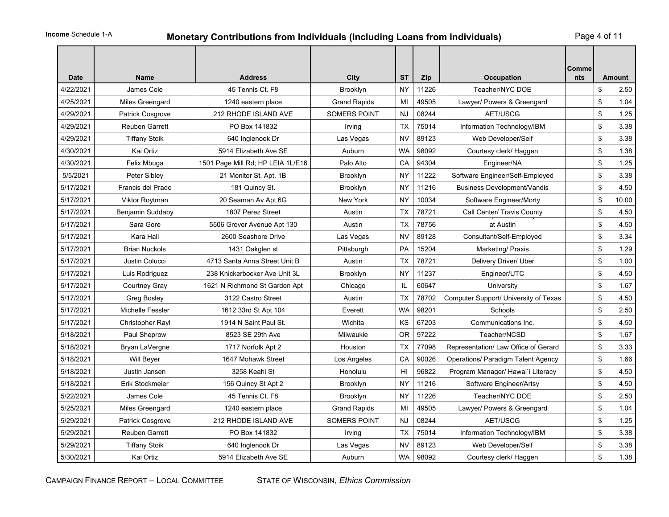# **Monetary Contributions from Individuals (Including Loans from Individuals)** Page 4 of 11

| <b>Date</b> | <b>Name</b>            | <b>Address</b>                    | City                | <b>ST</b> | Zip   | <b>Occupation</b>                         | Comme<br>nts | <b>Amount</b> |
|-------------|------------------------|-----------------------------------|---------------------|-----------|-------|-------------------------------------------|--------------|---------------|
| 4/22/2021   | James Cole             | 45 Tennis Ct. F8                  | Brooklyn            | <b>NY</b> | 11226 | Teacher/NYC DOE                           |              | \$<br>2.50    |
| 4/25/2021   | Miles Greengard        | 1240 eastern place                | <b>Grand Rapids</b> | MI        | 49505 | Lawyer/ Powers & Greengard                |              | \$<br>1.04    |
| 4/29/2021   | Patrick Cosgrove       | 212 RHODE ISLAND AVE              | <b>SOMERS POINT</b> | <b>NJ</b> | 08244 | AET/USCG                                  |              | \$<br>1.25    |
| 4/29/2021   | <b>Reuben Garrett</b>  | PO Box 141832                     | Irving              | TX        | 75014 | Information Technology/IBM                |              | \$<br>3.38    |
| 4/29/2021   | <b>Tiffany Stoik</b>   | 640 Inglenook Dr                  | Las Vegas           | <b>NV</b> | 89123 | Web Developer/Self                        |              | \$<br>3.38    |
| 4/30/2021   | Kai Ortiz              | 5914 Elizabeth Ave SE             | Auburn              | <b>WA</b> | 98092 | Courtesy clerk/ Haggen                    |              | \$<br>1.38    |
| 4/30/2021   | Felix Mbuga            | 1501 Page Mill Rd; HP LEIA 1L/E16 | Palo Alto           | CA        | 94304 | Engineer/NA                               |              | \$<br>1.25    |
| 5/5/2021    | Peter Sibley           | 21 Monitor St. Apt. 1B            | Brooklyn            | <b>NY</b> | 11222 | Software Engineer/Self-Employed           |              | \$<br>3.38    |
| 5/17/2021   | Francis del Prado      | 181 Quincy St.                    | Brooklyn            | NY        | 11216 | <b>Business Development/Vandis</b>        |              | \$<br>4.50    |
| 5/17/2021   | Viktor Roytman         | 20 Seaman Av Apt 6G               | New York            | <b>NY</b> | 10034 | Software Engineer/Morty                   |              | \$<br>10.00   |
| 5/17/2021   | Benjamin Suddaby       | 1807 Perez Street                 | Austin              | TX        | 78721 | Call Center/ Travis County                |              | \$<br>4.50    |
| 5/17/2021   | Sara Gore              | 5506 Grover Avenue Apt 130        | Austin              | <b>TX</b> | 78756 | at Austin                                 |              | \$<br>4.50    |
| 5/17/2021   | Kara Hall              | 2600 Seashore Drive               | Las Vegas           | <b>NV</b> | 89128 | Consultant/Self-Employed                  |              | \$<br>3.34    |
| 5/17/2021   | <b>Brian Nuckols</b>   | 1431 Oakglen st                   | Pittsburgh          | <b>PA</b> | 15204 | Marketing/ Praxis                         |              | \$<br>1.29    |
| 5/17/2021   | Justin Colucci         | 4713 Santa Anna Street Unit B     | Austin              | TX        | 78721 | Delivery Driver/ Uber                     |              | \$<br>1.00    |
| 5/17/2021   | Luis Rodriguez         | 238 Knickerbocker Ave Unit 3L     | <b>Brooklyn</b>     | <b>NY</b> | 11237 | Engineer/UTC                              |              | \$<br>4.50    |
| 5/17/2021   | Courtney Gray          | 1621 N Richmond St Garden Apt     | Chicago             | IL        | 60647 | University                                |              | \$<br>1.67    |
| 5/17/2021   | Greg Bosley            | 3122 Castro Street                | Austin              | TX        | 78702 | Computer Support/ University of Texas     |              | \$<br>4.50    |
| 5/17/2021   | Michelle Fessler       | 1612 33rd St Apt 104              | Everett             | <b>WA</b> | 98201 | Schools                                   |              | \$<br>2.50    |
| 5/17/2021   | Christopher Rayl       | 1914 N Saint Paul St.             | Wichita             | KS        | 67203 | Communications Inc.                       |              | \$<br>4.50    |
| 5/18/2021   | Paul Sheprow           | 8523 SE 29th Ave                  | Milwaukie           | <b>OR</b> | 97222 | Teacher/NCSD                              |              | \$<br>1.67    |
| 5/18/2021   | Bryan LaVergne         | 1717 Norfolk Apt 2                | Houston             | TX        | 77098 | Representation/ Law Office of Gerard      |              | \$<br>3.33    |
| 5/18/2021   | Will Beyer             | 1647 Mohawk Street                | Los Angeles         | CA        | 90026 | <b>Operations/ Paradigm Talent Agency</b> |              | \$<br>1.66    |
| 5/18/2021   | Justin Jansen          | 3258 Keahi St                     | Honolulu            | HI        | 96822 | Program Manager/ Hawai'i Literacy         |              | \$<br>4.50    |
| 5/18/2021   | <b>Erik Stockmeier</b> | 156 Quincy St Apt 2               | Brooklyn            | <b>NY</b> | 11216 | Software Engineer/Artsy                   |              | \$<br>4.50    |
| 5/22/2021   | James Cole             | 45 Tennis Ct. F8                  | Brooklyn            | <b>NY</b> | 11226 | Teacher/NYC DOE                           |              | \$<br>2.50    |
| 5/25/2021   | Miles Greengard        | 1240 eastern place                | <b>Grand Rapids</b> | MI        | 49505 | Lawyer/ Powers & Greengard                |              | \$<br>1.04    |
| 5/29/2021   | Patrick Cosgrove       | 212 RHODE ISLAND AVE              | <b>SOMERS POINT</b> | <b>NJ</b> | 08244 | AET/USCG                                  |              | \$<br>1.25    |
| 5/29/2021   | Reuben Garrett         | PO Box 141832                     | Irving              | TX        | 75014 | Information Technology/IBM                |              | \$<br>3.38    |
| 5/29/2021   | <b>Tiffany Stoik</b>   | 640 Inglenook Dr                  | Las Vegas           | <b>NV</b> | 89123 | Web Developer/Self                        |              | \$<br>3.38    |
| 5/30/2021   | Kai Ortiz              | 5914 Elizabeth Ave SE             | Auburn              | WA        | 98092 | Courtesy clerk/ Haggen                    |              | \$<br>1.38    |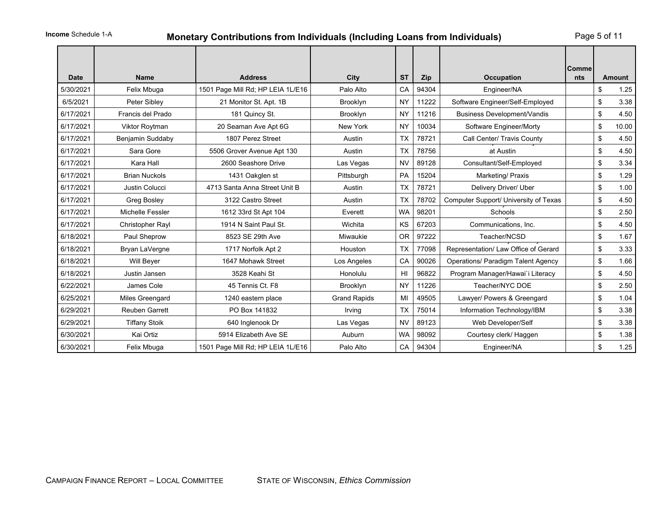# **Monetary Contributions from Individuals (Including Loans from Individuals)** Page 5 of 11

| <b>Date</b> | <b>Name</b>           | <b>Address</b>                    | City                | <b>ST</b>       | Zip   | <b>Occupation</b>                         | <b>Comme</b><br>nts | <b>Amount</b> |
|-------------|-----------------------|-----------------------------------|---------------------|-----------------|-------|-------------------------------------------|---------------------|---------------|
| 5/30/2021   | Felix Mbuga           | 1501 Page Mill Rd; HP LEIA 1L/E16 | Palo Alto           | CA              | 94304 | Engineer/NA                               |                     | \$<br>1.25    |
| 6/5/2021    | Peter Sibley          | 21 Monitor St. Apt. 1B            | Brooklyn            | <b>NY</b>       | 11222 | Software Engineer/Self-Employed           |                     | \$<br>3.38    |
| 6/17/2021   | Francis del Prado     | 181 Quincy St.                    | Brooklyn            | <b>NY</b>       | 11216 | <b>Business Development/Vandis</b>        |                     | \$<br>4.50    |
| 6/17/2021   | <b>Viktor Roytman</b> | 20 Seaman Ave Apt 6G              | New York            | <b>NY</b>       | 10034 | Software Engineer/Morty                   |                     | \$<br>10.00   |
| 6/17/2021   | Benjamin Suddaby      | 1807 Perez Street                 | Austin              | <b>TX</b>       | 78721 | Call Center/ Travis County                |                     | \$<br>4.50    |
| 6/17/2021   | Sara Gore             | 5506 Grover Avenue Apt 130        | Austin              | <b>TX</b>       | 78756 | at Austin                                 |                     | \$<br>4.50    |
| 6/17/2021   | Kara Hall             | 2600 Seashore Drive               | Las Vegas           | <b>NV</b>       | 89128 | Consultant/Self-Employed                  |                     | \$<br>3.34    |
| 6/17/2021   | <b>Brian Nuckols</b>  | 1431 Oakglen st                   | Pittsburgh          | PA              | 15204 | Marketing/ Praxis                         |                     | \$<br>1.29    |
| 6/17/2021   | Justin Colucci        | 4713 Santa Anna Street Unit B     | Austin              | <b>TX</b>       | 78721 | Delivery Driver/ Uber                     |                     | \$<br>1.00    |
| 6/17/2021   | <b>Greg Bosley</b>    | 3122 Castro Street                | Austin              | <b>TX</b>       | 78702 | Computer Support/ University of Texas     |                     | \$<br>4.50    |
| 6/17/2021   | Michelle Fessler      | 1612 33rd St Apt 104              | Everett             | <b>WA</b>       | 98201 | Schools                                   |                     | \$<br>2.50    |
| 6/17/2021   | Christopher Rayl      | 1914 N Saint Paul St.             | Wichita             | KS              | 67203 | Communications, Inc.                      |                     | \$<br>4.50    |
| 6/18/2021   | Paul Sheprow          | 8523 SE 29th Ave                  | Miwaukie            | <b>OR</b>       | 97222 | Teacher/NCSD                              |                     | \$<br>1.67    |
| 6/18/2021   | Bryan LaVergne        | 1717 Norfolk Apt 2                | Houston             | <b>TX</b>       | 77098 | Representation/ Law Office of Gerard      |                     | \$<br>3.33    |
| 6/18/2021   | <b>Will Beyer</b>     | 1647 Mohawk Street                | Los Angeles         | CA              | 90026 | <b>Operations/ Paradigm Talent Agency</b> |                     | \$<br>1.66    |
| 6/18/2021   | Justin Jansen         | 3528 Keahi St                     | Honolulu            | H <sub>II</sub> | 96822 | Program Manager/Hawai'i Literacy          |                     | \$<br>4.50    |
| 6/22/2021   | James Cole            | 45 Tennis Ct. F8                  | Brooklyn            | <b>NY</b>       | 11226 | Teacher/NYC DOE                           |                     | \$<br>2.50    |
| 6/25/2021   | Miles Greengard       | 1240 eastern place                | <b>Grand Rapids</b> | MI              | 49505 | Lawyer/ Powers & Greengard                |                     | \$<br>1.04    |
| 6/29/2021   | <b>Reuben Garrett</b> | PO Box 141832                     | Irving              | <b>TX</b>       | 75014 | Information Technology/IBM                |                     | \$<br>3.38    |
| 6/29/2021   | <b>Tiffany Stoik</b>  | 640 Inglenook Dr                  | Las Vegas           | <b>NV</b>       | 89123 | Web Developer/Self                        |                     | \$<br>3.38    |
| 6/30/2021   | Kai Ortiz             | 5914 Elizabeth Ave SE             | Auburn              | <b>WA</b>       | 98092 | Courtesy clerk/ Haggen                    |                     | \$<br>1.38    |
| 6/30/2021   | Felix Mbuga           | 1501 Page Mill Rd; HP LEIA 1L/E16 | Palo Alto           | CA              | 94304 | Engineer/NA                               |                     | \$<br>1.25    |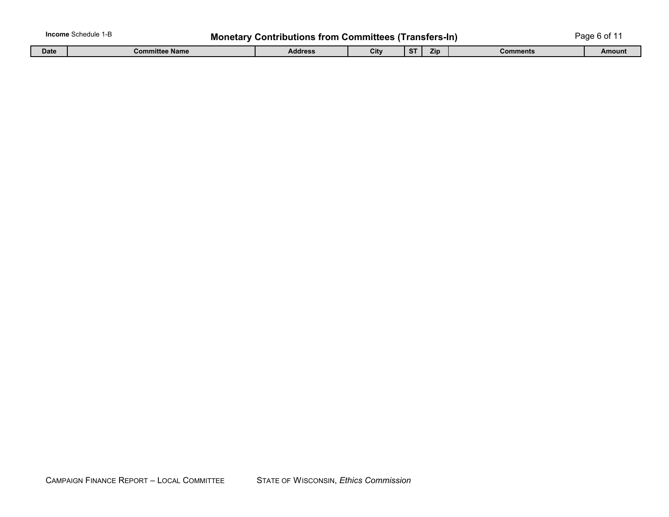| <b>Income</b> Schedule 1-B<br><b>Monetary Contributions from Committees (Transfers-In)</b> |                |         |      |     |      |          |        |
|--------------------------------------------------------------------------------------------|----------------|---------|------|-----|------|----------|--------|
| <b>Date</b>                                                                                | Committee Name | Address | City | -ST | Zip. | Comments | Amount |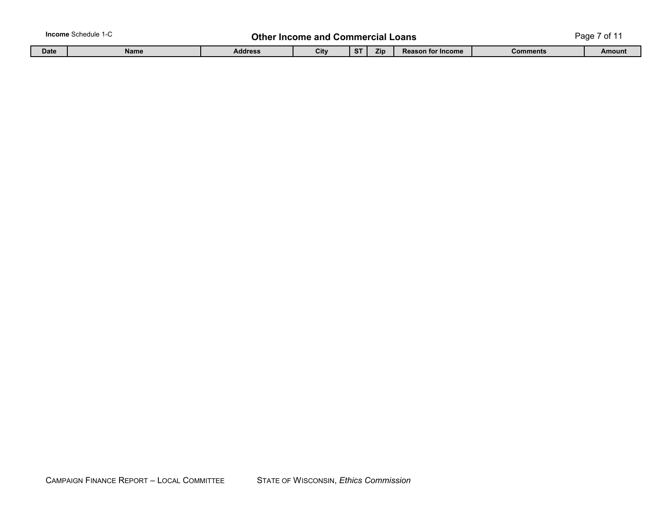|             | <b>Income</b> Schedule 1-C | Other Income. | and                                                  |  | Commercial<br>.oans |  | ~*<br>Page |        |  |
|-------------|----------------------------|---------------|------------------------------------------------------|--|---------------------|--|------------|--------|--|
| <b>Date</b> | <b>Name</b>                | Address       | City<br><b>ST</b><br>Zip<br><b>Reason for Income</b> |  |                     |  | Comments   | Amount |  |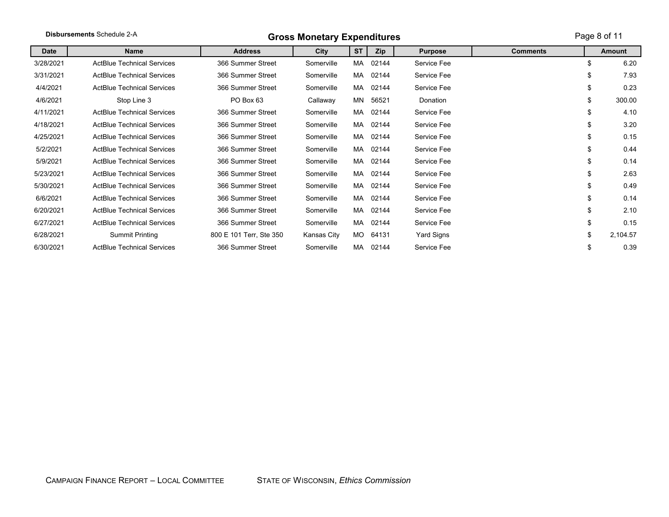| Disbursements Schedule 2-A |                                   | <b>Gross Monetary Expenditures</b> |             | Page 8 of 11 |       |                |                 |    |          |
|----------------------------|-----------------------------------|------------------------------------|-------------|--------------|-------|----------------|-----------------|----|----------|
| Date                       | <b>Name</b>                       | <b>Address</b>                     | City        | <b>ST</b>    | Zip   | <b>Purpose</b> | <b>Comments</b> |    | Amount   |
| 3/28/2021                  | <b>ActBlue Technical Services</b> | 366 Summer Street                  | Somerville  | MA           | 02144 | Service Fee    |                 | \$ | 6.20     |
| 3/31/2021                  | <b>ActBlue Technical Services</b> | 366 Summer Street                  | Somerville  | MA           | 02144 | Service Fee    |                 | \$ | 7.93     |
| 4/4/2021                   | <b>ActBlue Technical Services</b> | 366 Summer Street                  | Somerville  | MA           | 02144 | Service Fee    |                 | \$ | 0.23     |
| 4/6/2021                   | Stop Line 3                       | PO Box 63                          | Callaway    | MN           | 56521 | Donation       |                 | \$ | 300.00   |
| 4/11/2021                  | <b>ActBlue Technical Services</b> | 366 Summer Street                  | Somerville  | MA           | 02144 | Service Fee    |                 | \$ | 4.10     |
| 4/18/2021                  | <b>ActBlue Technical Services</b> | 366 Summer Street                  | Somerville  | MA           | 02144 | Service Fee    |                 | \$ | 3.20     |
| 4/25/2021                  | <b>ActBlue Technical Services</b> | 366 Summer Street                  | Somerville  | MA           | 02144 | Service Fee    |                 | \$ | 0.15     |
| 5/2/2021                   | <b>ActBlue Technical Services</b> | 366 Summer Street                  | Somerville  | MA           | 02144 | Service Fee    |                 | \$ | 0.44     |
| 5/9/2021                   | <b>ActBlue Technical Services</b> | 366 Summer Street                  | Somerville  | MA           | 02144 | Service Fee    |                 | \$ | 0.14     |
| 5/23/2021                  | <b>ActBlue Technical Services</b> | 366 Summer Street                  | Somerville  | MA           | 02144 | Service Fee    |                 | \$ | 2.63     |
| 5/30/2021                  | <b>ActBlue Technical Services</b> | 366 Summer Street                  | Somerville  | MA           | 02144 | Service Fee    |                 | \$ | 0.49     |
| 6/6/2021                   | <b>ActBlue Technical Services</b> | 366 Summer Street                  | Somerville  | MA           | 02144 | Service Fee    |                 | \$ | 0.14     |
| 6/20/2021                  | <b>ActBlue Technical Services</b> | 366 Summer Street                  | Somerville  | MA           | 02144 | Service Fee    |                 | \$ | 2.10     |
| 6/27/2021                  | <b>ActBlue Technical Services</b> | 366 Summer Street                  | Somerville  | MA           | 02144 | Service Fee    |                 | \$ | 0.15     |
| 6/28/2021                  | Summit Printing                   | 800 E 101 Terr, Ste 350            | Kansas City | MO -         | 64131 | Yard Signs     |                 | \$ | 2,104.57 |
| 6/30/2021                  | <b>ActBlue Technical Services</b> | 366 Summer Street                  | Somerville  | MA           | 02144 | Service Fee    |                 | \$ | 0.39     |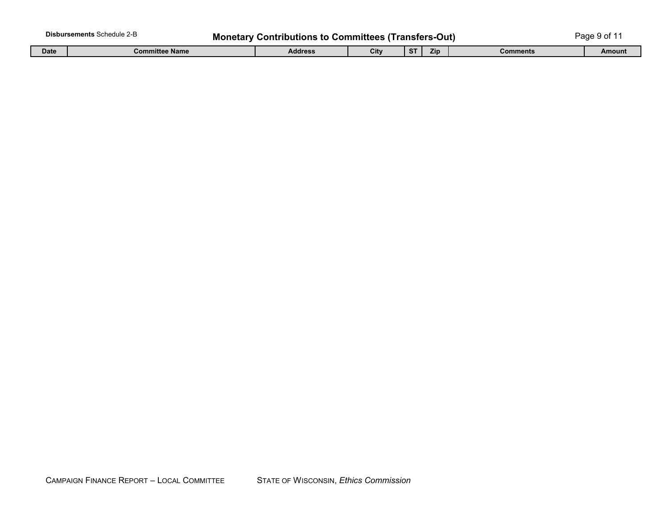| <b>Disbursements Schedule 2-B</b><br><b>Monetary Contributions to Committees (Transfers-Out)</b> |                       |         |      |        |     |           | Page 9 of 1 |
|--------------------------------------------------------------------------------------------------|-----------------------|---------|------|--------|-----|-----------|-------------|
| <b>Date</b>                                                                                      | <b>Committee Name</b> | Address | City | $\sim$ | Zip | ิ∶omments | Amount      |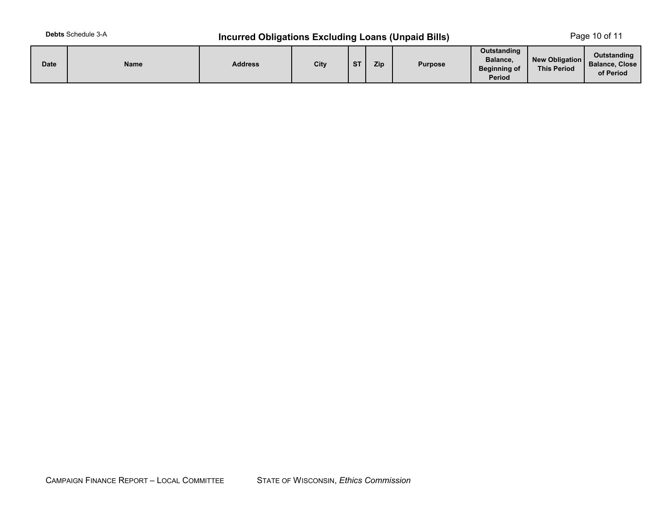# **Incurred Obligations Excluding Loans (Unpaid Bills)** Page 10 of 11

| <b>Date</b> | Name | <b>Address</b> | City | $C$ T | Zip | <b>Purpose</b> | Outstanding<br>Balance,<br><b>Beginning of</b><br><b>Period</b> | New Obligation<br><b>This Period</b> | Outstanding<br><b>Balance, Close</b><br>of Period |
|-------------|------|----------------|------|-------|-----|----------------|-----------------------------------------------------------------|--------------------------------------|---------------------------------------------------|
|-------------|------|----------------|------|-------|-----|----------------|-----------------------------------------------------------------|--------------------------------------|---------------------------------------------------|